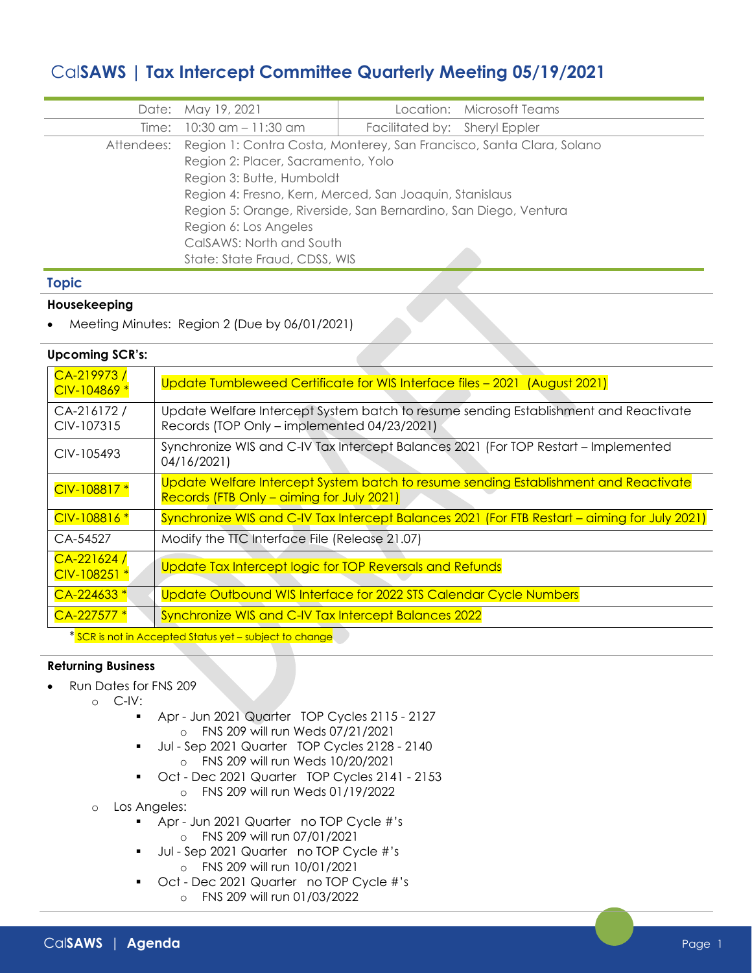# Cal**SAWS | Tax Intercept Committee Quarterly Meeting 05/19/2021**

|       | Date: May 19, 2021                                                              |                               | Location: Microsoft Teams |
|-------|---------------------------------------------------------------------------------|-------------------------------|---------------------------|
| Time: | 10:30 am - 11:30 am                                                             | Facilitated by: Sheryl Eppler |                           |
|       | Attendees: Region 1: Contra Costa, Monterey, San Francisco, Santa Clara, Solano |                               |                           |
|       | Region 2: Placer, Sacramento, Yolo                                              |                               |                           |
|       | Region 3: Butte, Humboldt                                                       |                               |                           |
|       | Region 4: Fresno, Kern, Merced, San Joaquin, Stanislaus                         |                               |                           |
|       | Region 5: Orange, Riverside, San Bernardino, San Diego, Ventura                 |                               |                           |
|       | Region 6: Los Angeles                                                           |                               |                           |
|       | CalSAWS: North and South                                                        |                               |                           |
|       | State: State Fraud, CDSS, WIS                                                   |                               |                           |

## **Topic**

## **Housekeeping**

• Meeting Minutes: Region 2 (Due by 06/01/2021)

## **Upcoming SCR's:**

| CA-219973/<br>CIV-104869 *   | Update Tumbleweed Certificate for WIS Interface files - 2021 (August 2021)                                                          |  |  |
|------------------------------|-------------------------------------------------------------------------------------------------------------------------------------|--|--|
| CA-216172/<br>CIV-107315     | Update Welfare Intercept System batch to resume sending Establishment and Reactivate<br>Records (TOP Only - implemented 04/23/2021) |  |  |
| CIV-105493                   | Synchronize WIS and C-IV Tax Intercept Balances 2021 (For TOP Restart – Implemented<br>04/16/2021)                                  |  |  |
| CIV-108817 *                 | Update Welfare Intercept System batch to resume sending Establishment and Reactivate<br>Records (FTB Only – aiming for July 2021)   |  |  |
| CIV-108816 *                 | Synchronize WIS and C-IV Tax Intercept Balances 2021 (For FTB Restart - aiming for July 2021)                                       |  |  |
| CA-54527                     | Modify the TTC Interface File (Release 21.07)                                                                                       |  |  |
| $CA-221624/$<br>CIV-108251 * | Update Tax Intercept logic for TOP Reversals and Refunds                                                                            |  |  |
| $CA-224633*$                 | Update Outbound WIS Interface for 2022 STS Calendar Cycle Numbers                                                                   |  |  |
| $CA-227577*$                 | Synchronize WIS and C-IV Tax Intercept Balances 2022                                                                                |  |  |
|                              |                                                                                                                                     |  |  |

<mark>'SCR is not in Accepted Status yet – subject to change</mark> w

## **Returning Business**

- Run Dates for FNS 209
	- o C-IV:
		- Apr Jun 2021 Quarter TOP Cycles 2115 2127 o FNS 209 will run Weds 07/21/2021
		- Jul Sep 2021 Quarter TOP Cycles 2128 2140 o FNS 209 will run Weds 10/20/2021
		- Oct Dec 2021 Quarter TOP Cycles 2141 2153
			- o FNS 209 will run Weds 01/19/2022
		- o Los Angeles:
			- Apr Jun 2021 Quarter no TOP Cycle #'s o FNS 209 will run 07/01/2021
			- Jul Sep 2021 Quarter no TOP Cycle #'s o FNS 209 will run 10/01/2021
			- Oct Dec 2021 Quarter no TOP Cycle #'s
				- o FNS 209 will run 01/03/2022